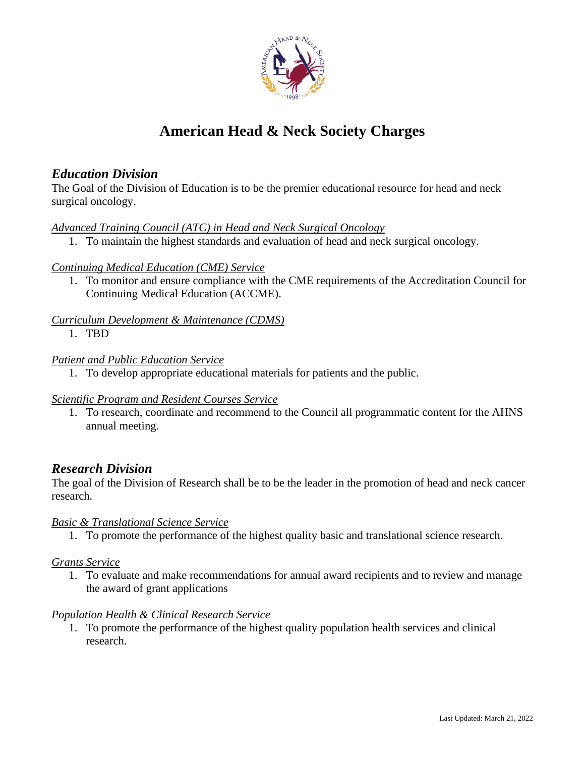

# **American Head & Neck Society Charges**

# *Education Division*

The Goal of the Division of Education is to be the premier educational resource for head and neck surgical oncology.

#### *Advanced Training Council (ATC) in Head and Neck Surgical Oncology*

1. To maintain the highest standards and evaluation of head and neck surgical oncology.

#### *Continuing Medical Education (CME) Service*

1. To monitor and ensure compliance with the CME requirements of the Accreditation Council for Continuing Medical Education (ACCME).

# *Curriculum Development & Maintenance (CDMS)*

1. TBD

#### *Patient and Public Education Service*

1. To develop appropriate educational materials for patients and the public.

## *Scientific Program and Resident Courses Service*

1. To research, coordinate and recommend to the Council all programmatic content for the AHNS annual meeting.

# *Research Division*

The goal of the Division of Research shall be to be the leader in the promotion of head and neck cancer research.

## *Basic & Translational Science Service*

1. To promote the performance of the highest quality basic and translational science research.

## *Grants Service*

1. To evaluate and make recommendations for annual award recipients and to review and manage the award of grant applications

## *Population Health & Clinical Research Service*

1. To promote the performance of the highest quality population health services and clinical research.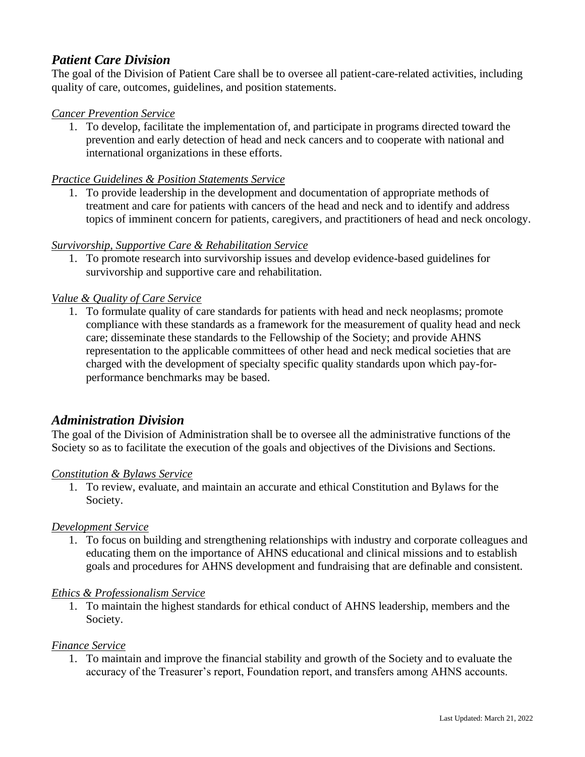# *Patient Care Division*

The goal of the Division of Patient Care shall be to oversee all patient-care-related activities, including quality of care, outcomes, guidelines, and position statements.

#### *Cancer Prevention Service*

1. To develop, facilitate the implementation of, and participate in programs directed toward the prevention and early detection of head and neck cancers and to cooperate with national and international organizations in these efforts.

#### *Practice Guidelines & Position Statements Service*

1. To provide leadership in the development and documentation of appropriate methods of treatment and care for patients with cancers of the head and neck and to identify and address topics of imminent concern for patients, caregivers, and practitioners of head and neck oncology.

#### *Survivorship, Supportive Care & Rehabilitation Service*

1. To promote research into survivorship issues and develop evidence-based guidelines for survivorship and supportive care and rehabilitation.

#### *Value & Quality of Care Service*

1. To formulate quality of care standards for patients with head and neck neoplasms; promote compliance with these standards as a framework for the measurement of quality head and neck care; disseminate these standards to the Fellowship of the Society; and provide AHNS representation to the applicable committees of other head and neck medical societies that are charged with the development of specialty specific quality standards upon which pay-forperformance benchmarks may be based.

# *Administration Division*

The goal of the Division of Administration shall be to oversee all the administrative functions of the Society so as to facilitate the execution of the goals and objectives of the Divisions and Sections.

#### *Constitution & Bylaws Service*

1. To review, evaluate, and maintain an accurate and ethical Constitution and Bylaws for the Society.

#### *Development Service*

1. To focus on building and strengthening relationships with industry and corporate colleagues and educating them on the importance of AHNS educational and clinical missions and to establish goals and procedures for AHNS development and fundraising that are definable and consistent.

#### *Ethics & Professionalism Service*

1. To maintain the highest standards for ethical conduct of AHNS leadership, members and the Society.

#### *Finance Service*

1. To maintain and improve the financial stability and growth of the Society and to evaluate the accuracy of the Treasurer's report, Foundation report, and transfers among AHNS accounts.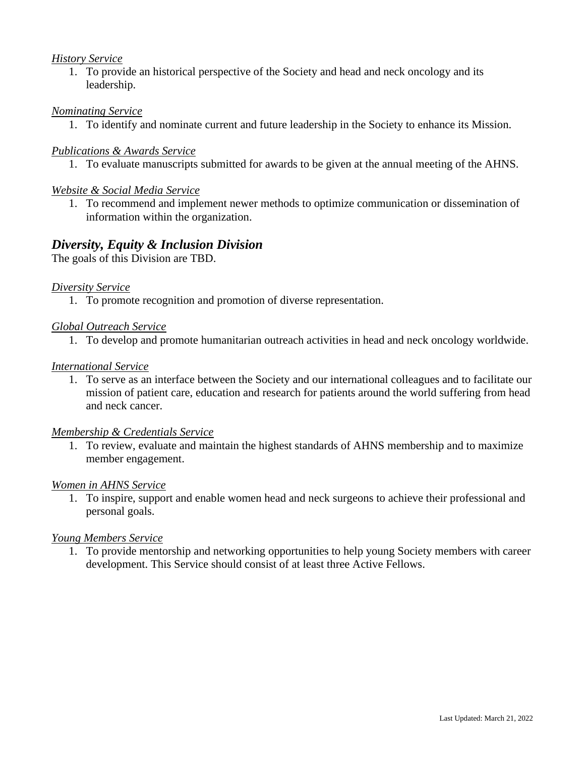#### *History Service*

1. To provide an historical perspective of the Society and head and neck oncology and its leadership.

#### *Nominating Service*

1. To identify and nominate current and future leadership in the Society to enhance its Mission.

#### *Publications & Awards Service*

1. To evaluate manuscripts submitted for awards to be given at the annual meeting of the AHNS.

#### *Website & Social Media Service*

1. To recommend and implement newer methods to optimize communication or dissemination of information within the organization.

## *Diversity, Equity & Inclusion Division*

The goals of this Division are TBD.

#### *Diversity Service*

1. To promote recognition and promotion of diverse representation.

#### *Global Outreach Service*

1. To develop and promote humanitarian outreach activities in head and neck oncology worldwide.

#### *International Service*

1. To serve as an interface between the Society and our international colleagues and to facilitate our mission of patient care, education and research for patients around the world suffering from head and neck cancer.

#### *Membership & Credentials Service*

1. To review, evaluate and maintain the highest standards of AHNS membership and to maximize member engagement.

#### *Women in AHNS Service*

1. To inspire, support and enable women head and neck surgeons to achieve their professional and personal goals.

#### *Young Members Service*

1. To provide mentorship and networking opportunities to help young Society members with career development. This Service should consist of at least three Active Fellows.